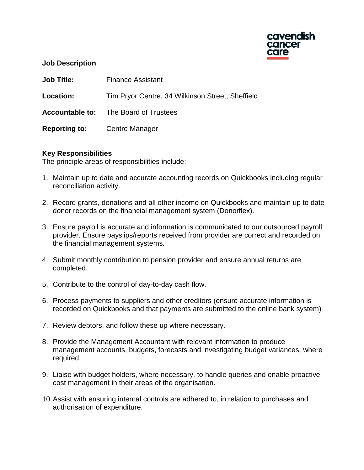

### **Job Description**

| <b>Job Title:</b>                   | <b>Finance Assistant</b>                         |
|-------------------------------------|--------------------------------------------------|
| Location:                           | Tim Pryor Centre, 34 Wilkinson Street, Sheffield |
|                                     | <b>Accountable to:</b> The Board of Trustees     |
| <b>Reporting to:</b> Centre Manager |                                                  |

## **Key Responsibilities**

The principle areas of responsibilities include:

- 1. Maintain up to date and accurate accounting records on Quickbooks including regular reconciliation activity.
- 2. Record grants, donations and all other income on Quickbooks and maintain up to date donor records on the financial management system (Donorflex).
- 3. Ensure payroll is accurate and information is communicated to our outsourced payroll provider. Ensure payslips/reports received from provider are correct and recorded on the financial management systems.
- 4. Submit monthly contribution to pension provider and ensure annual returns are completed.
- 5. Contribute to the control of day-to-day cash flow.
- 6. Process payments to suppliers and other creditors (ensure accurate information is recorded on Quickbooks and that payments are submitted to the online bank system)
- 7. Review debtors, and follow these up where necessary.
- 8. Provide the Management Accountant with relevant information to produce management accounts, budgets, forecasts and investigating budget variances, where required.
- 9. Liaise with budget holders, where necessary, to handle queries and enable proactive cost management in their areas of the organisation.
- 10.Assist with ensuring internal controls are adhered to, in relation to purchases and authorisation of expenditure.